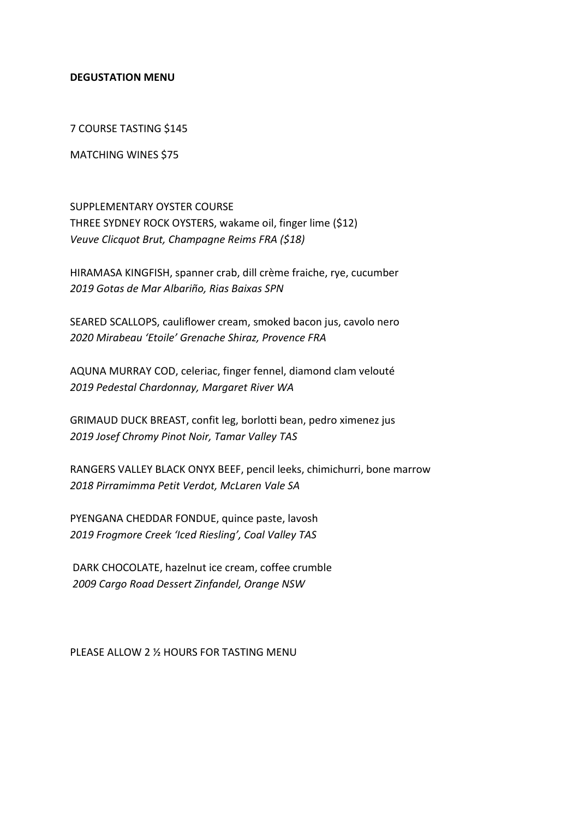## DEGUSTATION MENU

7 COURSE TASTING \$145

MATCHING WINES \$75

SUPPLEMENTARY OYSTER COURSE THREE SYDNEY ROCK OYSTERS, wakame oil, finger lime (\$12) Veuve Clicquot Brut, Champagne Reims FRA (\$18)

HIRAMASA KINGFISH, spanner crab, dill crème fraiche, rye, cucumber 2019 Gotas de Mar Albariño, Rias Baixas SPN

SEARED SCALLOPS, cauliflower cream, smoked bacon jus, cavolo nero 2020 Mirabeau 'Etoile' Grenache Shiraz, Provence FRA

AQUNA MURRAY COD, celeriac, finger fennel, diamond clam velouté 2019 Pedestal Chardonnay, Margaret River WA

GRIMAUD DUCK BREAST, confit leg, borlotti bean, pedro ximenez jus 2019 Josef Chromy Pinot Noir, Tamar Valley TAS

RANGERS VALLEY BLACK ONYX BEEF, pencil leeks, chimichurri, bone marrow 2018 Pirramimma Petit Verdot, McLaren Vale SA

PYENGANA CHEDDAR FONDUE, quince paste, lavosh 2019 Frogmore Creek 'Iced Riesling', Coal Valley TAS

 DARK CHOCOLATE, hazelnut ice cream, coffee crumble 2009 Cargo Road Dessert Zinfandel, Orange NSW

PLEASE ALLOW 2 ½ HOURS FOR TASTING MENU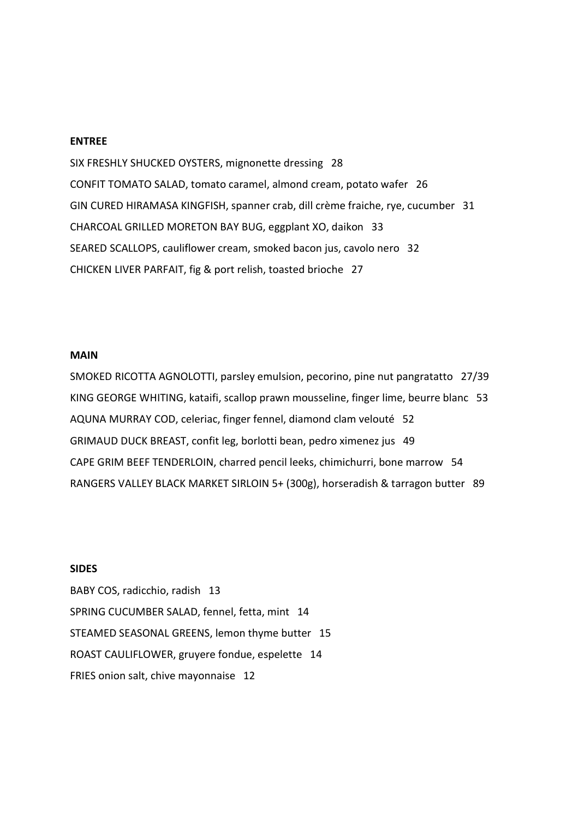#### ENTREE

SIX FRESHLY SHUCKED OYSTERS, mignonette dressing 28 CONFIT TOMATO SALAD, tomato caramel, almond cream, potato wafer 26 GIN CURED HIRAMASA KINGFISH, spanner crab, dill crème fraiche, rye, cucumber 31 CHARCOAL GRILLED MORETON BAY BUG, eggplant XO, daikon 33 SEARED SCALLOPS, cauliflower cream, smoked bacon jus, cavolo nero 32 CHICKEN LIVER PARFAIT, fig & port relish, toasted brioche 27

#### MAIN

SMOKED RICOTTA AGNOLOTTI, parsley emulsion, pecorino, pine nut pangratatto 27/39 KING GEORGE WHITING, kataifi, scallop prawn mousseline, finger lime, beurre blanc 53 AQUNA MURRAY COD, celeriac, finger fennel, diamond clam velouté 52 GRIMAUD DUCK BREAST, confit leg, borlotti bean, pedro ximenez jus 49 CAPE GRIM BEEF TENDERLOIN, charred pencil leeks, chimichurri, bone marrow 54 RANGERS VALLEY BLACK MARKET SIRLOIN 5+ (300g), horseradish & tarragon butter 89

## **SIDES**

BABY COS, radicchio, radish 13 SPRING CUCUMBER SALAD, fennel, fetta, mint 14 STEAMED SEASONAL GREENS, lemon thyme butter 15 ROAST CAULIFLOWER, gruyere fondue, espelette 14 FRIES onion salt, chive mayonnaise 12